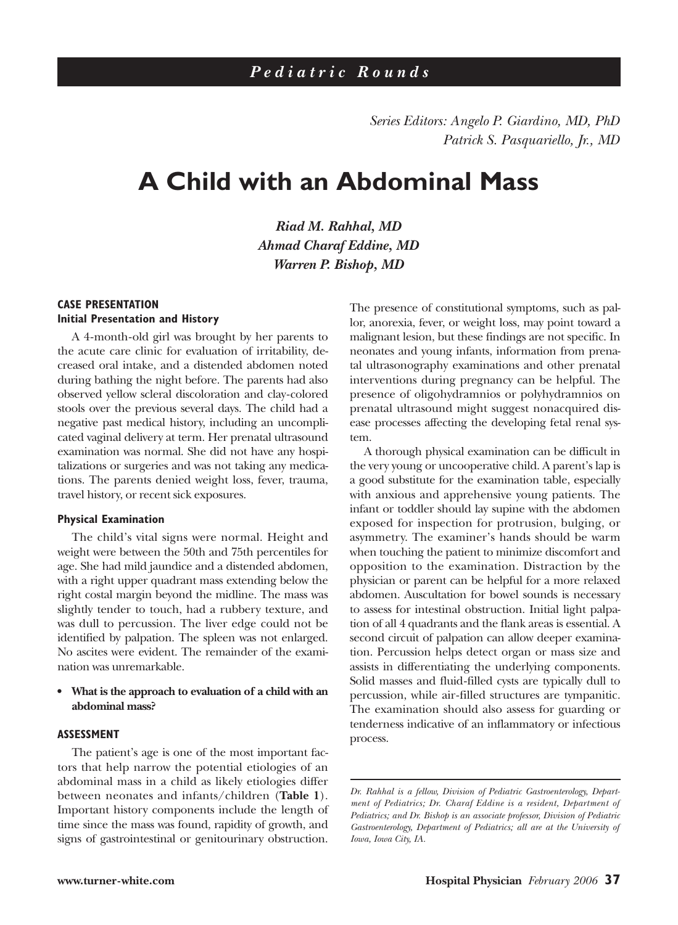*Series Editors: Angelo P. Giardino, MD, PhD Patrick S. Pasquariello, Jr., MD*

# **A Child with an Abdominal Mass**

*Riad M. Rahhal, MD Ahmad Charaf Eddine, MD Warren P. Bishop, MD*

## **CASE PRESENTATION Initial Presentation and History**

A 4-month-old girl was brought by her parents to the acute care clinic for evaluation of irritability, decreased oral intake, and a distended abdomen noted during bathing the night before. The parents had also observed yellow scleral discoloration and clay-colored stools over the previous several days. The child had a negative past medical history, including an uncomplicated vaginal delivery at term. Her prenatal ultrasound examination was normal. She did not have any hospitalizations or surgeries and was not taking any medications. The parents denied weight loss, fever, trauma, travel history, or recent sick exposures.

#### **Physical Examination**

The child's vital signs were normal. Height and weight were between the 50th and 75th percentiles for age. She had mild jaundice and a distended abdomen, with a right upper quadrant mass extending below the right costal margin beyond the midline. The mass was slightly tender to touch, had a rubbery texture, and was dull to percussion. The liver edge could not be identified by palpation. The spleen was not enlarged. No ascites were evident. The remainder of the examination was unremarkable.

## **• What is the approach to evaluation of a child with an abdominal mass?**

#### **ASSESSMENT**

The patient's age is one of the most important factors that help narrow the potential etiologies of an abdominal mass in a child as likely etiologies differ between neonates and infants/children (**Table 1**). Important history components include the length of time since the mass was found, rapidity of growth, and signs of gastrointestinal or genitourinary obstruction.

The presence of constitutional symptoms, such as pallor, anorexia, fever, or weight loss, may point toward a malignant lesion, but these findings are not specific. In neonates and young infants, information from prenatal ultrasonography examinations and other prenatal interventions during pregnancy can be helpful. The presence of oligohydramnios or polyhydramnios on prenatal ultrasound might suggest nonacquired disease processes affecting the developing fetal renal system.

A thorough physical examination can be difficult in the very young or uncooperative child. A parent's lap is a good substitute for the examination table, especially with anxious and apprehensive young patients. The infant or toddler should lay supine with the abdomen exposed for inspection for protrusion, bulging, or asymmetry. The examiner's hands should be warm when touching the patient to minimize discomfort and opposition to the examination. Distraction by the physician or parent can be helpful for a more relaxed abdomen. Auscultation for bowel sounds is necessary to assess for intestinal obstruction. Initial light palpation of all 4 quadrants and the flank areas is essential. A second circuit of palpation can allow deeper examination. Percussion helps detect organ or mass size and assists in differentiating the underlying components. Solid masses and fluid-filled cysts are typically dull to percussion, while air-filled structures are tympanitic. The examination should also assess for guarding or tenderness indicative of an inflammatory or infectious process.

*Dr. Rahhal is a fellow, Division of Pediatric Gastroenterology, Department of Pediatrics; Dr. Charaf Eddine is a resident, Department of Pediatrics; and Dr. Bishop is an associate professor, Division of Pediatric Gastroenterology, Department of Pediatrics; all are at the University of Iowa, Iowa City, IA.*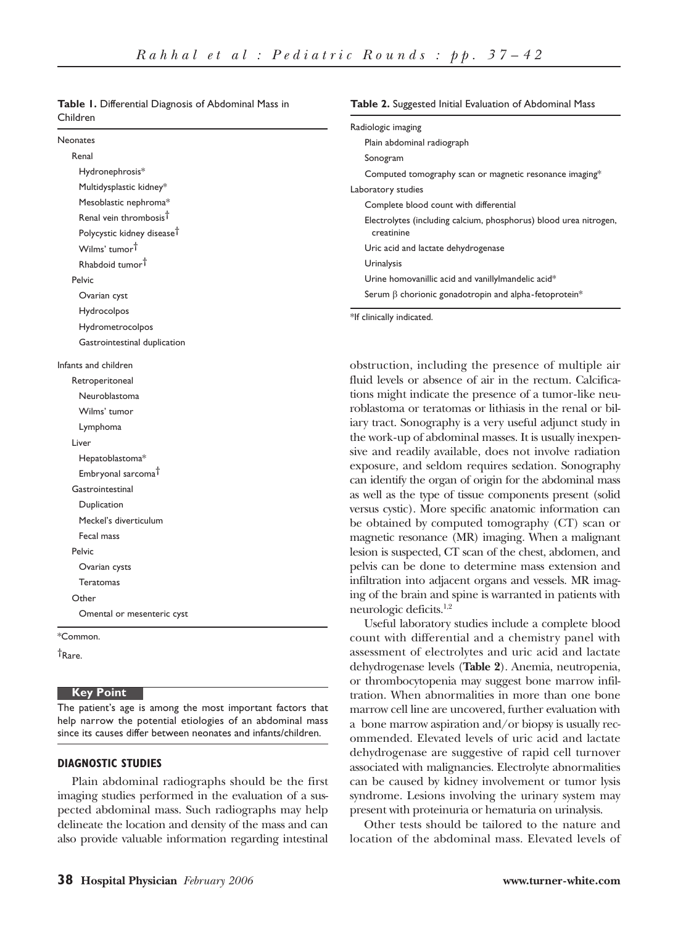| Children                               |                                                                                                                    |  |
|----------------------------------------|--------------------------------------------------------------------------------------------------------------------|--|
|                                        | Radiologic imaging                                                                                                 |  |
| Neonates                               | Plain abdominal radiograph                                                                                         |  |
| Renal                                  | Sonogram                                                                                                           |  |
| Hydronephrosis*                        | Computed tomography scan or magnetic resonance imaging*                                                            |  |
| Multidysplastic kidney*                | Laboratory studies                                                                                                 |  |
| Mesoblastic nephroma*                  | Complete blood count with differential                                                                             |  |
| Renal vein thrombosis <sup>t</sup>     | Electrolytes (including calcium, phosphorus) blood urea nitrogen,                                                  |  |
| Polycystic kidney disease <sup>†</sup> | creatinine                                                                                                         |  |
| Wilms' tumor <sup>†</sup>              | Uric acid and lactate dehydrogenase                                                                                |  |
| Rhabdoid tumor <sup>†</sup>            | <b>Urinalysis</b>                                                                                                  |  |
| Pelvic                                 | Urine homovanillic acid and vanillylmandelic acid*                                                                 |  |
| Ovarian cyst                           | Serum $\beta$ chorionic gonadotropin and alpha-fetoprotein*                                                        |  |
| Hydrocolpos                            | *If clinically indicated.                                                                                          |  |
| Hydrometrocolpos                       |                                                                                                                    |  |
| Gastrointestinal duplication           |                                                                                                                    |  |
| Infants and children                   | obstruction, including the presence of multiple air                                                                |  |
| Retroperitoneal                        | fluid levels or absence of air in the rectum. Calcifica-                                                           |  |
| Neuroblastoma                          | tions might indicate the presence of a tumor-like neu-                                                             |  |
| Wilms' tumor                           | roblastoma or teratomas or lithiasis in the renal or bil-                                                          |  |
| Lymphoma                               | iary tract. Sonography is a very useful adjunct study in                                                           |  |
| Liver                                  | the work-up of abdominal masses. It is usually inexpen-                                                            |  |
| Hepatoblastoma*                        | sive and readily available, does not involve radiation                                                             |  |
| Embryonal sarcoma <sup>†</sup>         | exposure, and seldom requires sedation. Sonography                                                                 |  |
| Gastrointestinal                       | can identify the organ of origin for the abdominal mass<br>as well as the type of tissue components present (solid |  |
| Duplication                            | versus cystic). More specific anatomic information can                                                             |  |
| Meckel's diverticulum                  | be obtained by computed tomography (CT) scan or                                                                    |  |
| Fecal mass                             | magnetic resonance (MR) imaging. When a malignant                                                                  |  |
| Pelvic                                 | lesion is suspected, CT scan of the chest, abdomen, and                                                            |  |
| Ovarian cysts                          | pelvis can be done to determine mass extension and                                                                 |  |
| <b>Teratomas</b>                       | infiltration into adjacent organs and vessels. MR imag-                                                            |  |
| Other                                  | ing of the brain and spine is warranted in patients with                                                           |  |
| Omental or mesenteric cyst             | neurologic deficits. <sup>1,2</sup>                                                                                |  |
| *Common.                               | Useful laboratory studies include a complete blood<br>count with differential and a chemistry panel with           |  |

| <b>Table 1.</b> Differential Diagnosis of Abdominal Mass in |  |
|-------------------------------------------------------------|--|
| Children                                                    |  |

†Rare.

## **Key Point**

The patient's age is among the most important factors that help narrow the potential etiologies of an abdominal mass since its causes differ between neonates and infants/children.

## **DIAGNOSTIC STUDIES**

Plain abdominal radiographs should be the first imaging studies performed in the evaluation of a suspected abdominal mass. Such radiographs may help delineate the location and density of the mass and can also provide valuable information regarding intestinal

#### **Table 2.** Suggested Initial Evaluation of Abdominal Mass

assessment of electrolytes and uric acid and lactate dehydrogenase levels (**Table 2**). Anemia, neutropenia, or thrombocytopenia may suggest bone marrow infiltration. When abnormalities in more than one bone marrow cell line are uncovered, further evaluation with a bone marrow aspiration and/or biopsy is usually recommended. Elevated levels of uric acid and lactate dehydrogenase are suggestive of rapid cell turnover associated with malignancies. Electrolyte abnormalities can be caused by kidney involvement or tumor lysis syndrome. Lesions involving the urinary system may present with proteinuria or hematuria on urinalysis. Other tests should be tailored to the nature and location of the abdominal mass. Elevated levels of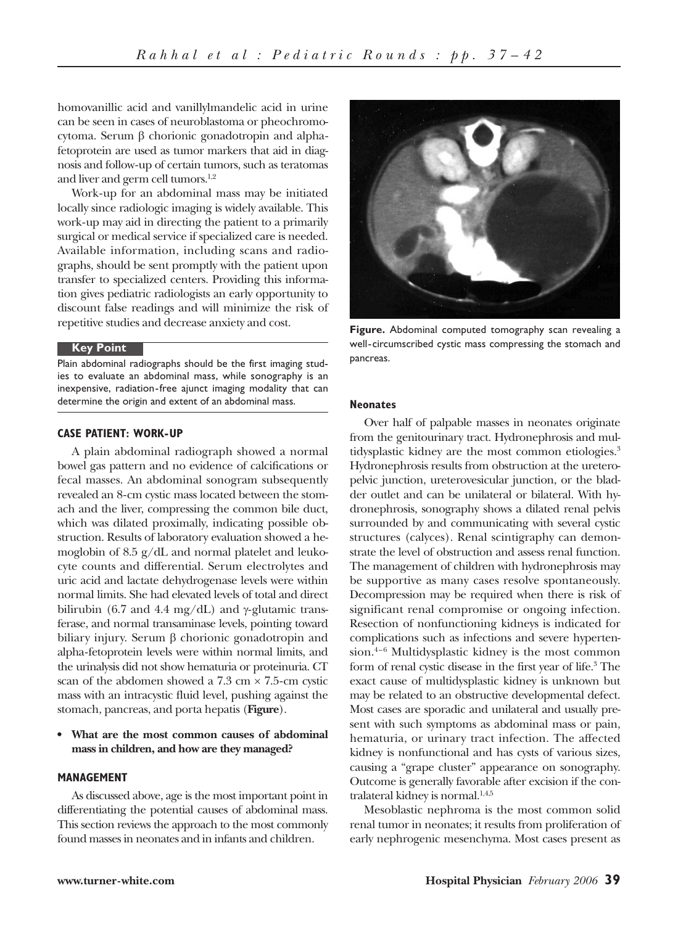homovanillic acid and vanillylmandelic acid in urine can be seen in cases of neuroblastoma or pheochromocytoma. Serum β chorionic gonadotropin and alphafetoprotein are used as tumor markers that aid in diagnosis and follow-up of certain tumors, such as teratomas and liver and germ cell tumors.<sup>1,2</sup>

Work-up for an abdominal mass may be initiated locally since radiologic imaging is widely available. This work-up may aid in directing the patient to a primarily surgical or medical service if specialized care is needed. Available information, including scans and radiographs, should be sent promptly with the patient upon transfer to specialized centers. Providing this information gives pediatric radiologists an early opportunity to discount false readings and will minimize the risk of repetitive studies and decrease anxiety and cost.

#### **Key Point**

Plain abdominal radiographs should be the first imaging studies to evaluate an abdominal mass, while sonography is an inexpensive, radiation-free ajunct imaging modality that can determine the origin and extent of an abdominal mass.

#### **CASE PATIENT: WORK-UP**

A plain abdominal radiograph showed a normal bowel gas pattern and no evidence of calcifications or fecal masses. An abdominal sonogram subsequently revealed an 8-cm cystic mass located between the stomach and the liver, compressing the common bile duct, which was dilated proximally, indicating possible obstruction. Results of laboratory evaluation showed a hemoglobin of 8.5 g/dL and normal platelet and leukocyte counts and differential. Serum electrolytes and uric acid and lactate dehydrogenase levels were within normal limits. She had elevated levels of total and direct bilirubin (6.7 and 4.4 mg/dL) and  $\gamma$ -glutamic transferase, and normal transaminase levels, pointing toward biliary injury. Serum β chorionic gonadotropin and alpha-fetoprotein levels were within normal limits, and the urinalysis did not show hematuria or proteinuria. CT scan of the abdomen showed a  $7.3 \text{ cm} \times 7.5 \text{ cm}$  cystic mass with an intracystic fluid level, pushing against the stomach, pancreas, and porta hepatis (**Figure**).

## **• What are the most common causes of abdominal mass in children, and how are they managed?**

## **MANAGEMENT**

As discussed above, age is the most important point in differentiating the potential causes of abdominal mass. This section reviews the approach to the most commonly found masses in neonates and in infants and children.



**Figure.** Abdominal computed tomography scan revealing a well-circumscribed cystic mass compressing the stomach and pancreas.

#### **Neonates**

Over half of palpable masses in neonates originate from the genitourinary tract. Hydronephrosis and multidysplastic kidney are the most common etiologies.<sup>3</sup> Hydronephrosis results from obstruction at the ureteropelvic junction, ureterovesicular junction, or the bladder outlet and can be unilateral or bilateral. With hydronephrosis, sonography shows a dilated renal pelvis surrounded by and communicating with several cystic structures (calyces). Renal scintigraphy can demonstrate the level of obstruction and assess renal function. The management of children with hydronephrosis may be supportive as many cases resolve spontaneously. Decompression may be required when there is risk of significant renal compromise or ongoing infection. Resection of nonfunctioning kidneys is indicated for complications such as infections and severe hypertension. $4-6$  Multidysplastic kidney is the most common form of renal cystic disease in the first year of life.3 The exact cause of multidysplastic kidney is unknown but may be related to an obstructive developmental defect. Most cases are sporadic and unilateral and usually present with such symptoms as abdominal mass or pain, hematuria, or urinary tract infection. The affected kidney is nonfunctional and has cysts of various sizes, causing a "grape cluster" appearance on sonography. Outcome is generally favorable after excision if the contralateral kidney is normal.<sup>1,4,5</sup>

Mesoblastic nephroma is the most common solid renal tumor in neonates; it results from proliferation of early nephrogenic mesenchyma. Most cases present as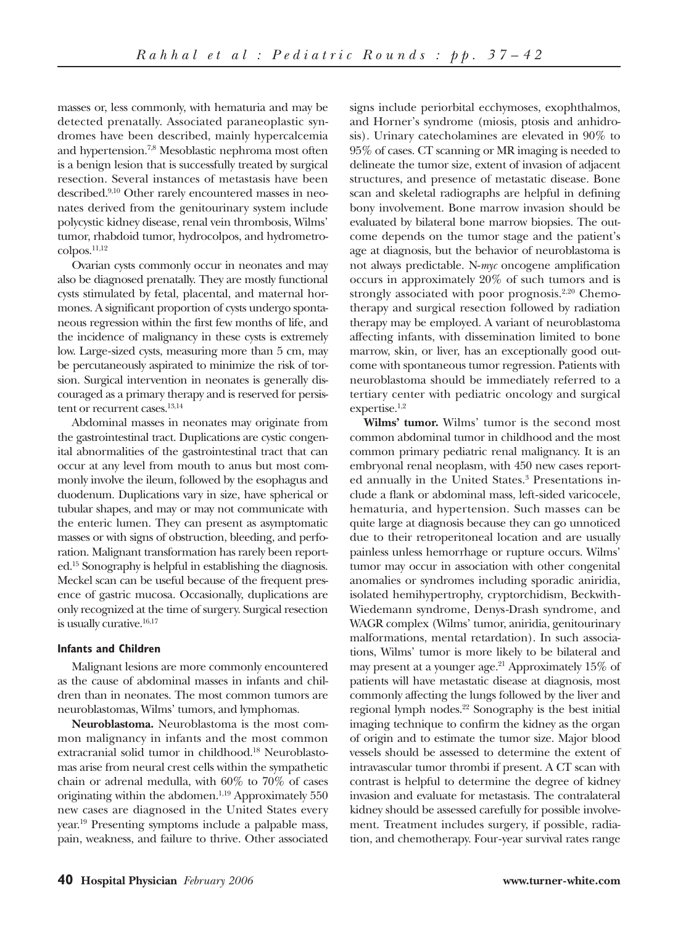masses or, less commonly, with hematuria and may be detected prenatally. Associated paraneoplastic syndromes have been described, mainly hypercalcemia and hypertension.7,8 Mesoblastic nephroma most often is a benign lesion that is successfully treated by surgical resection. Several instances of metastasis have been described.9,10 Other rarely encountered masses in neonates derived from the genitourinary system include polycystic kidney disease, renal vein thrombosis, Wilms' tumor, rhabdoid tumor, hydrocolpos, and hydrometrocolpos.11,12

Ovarian cysts commonly occur in neonates and may also be diagnosed prenatally. They are mostly functional cysts stimulated by fetal, placental, and maternal hormones. A significant proportion of cysts undergo spontaneous regression within the first few months of life, and the incidence of malignancy in these cysts is extremely low. Large-sized cysts, measuring more than 5 cm, may be percutaneously aspirated to minimize the risk of torsion. Surgical intervention in neonates is generally discouraged as a primary therapy and is reserved for persistent or recurrent cases.<sup>13,14</sup>

Abdominal masses in neonates may originate from the gastrointestinal tract. Duplications are cystic congenital abnormalities of the gastrointestinal tract that can occur at any level from mouth to anus but most commonly involve the ileum, followed by the esophagus and duodenum. Duplications vary in size, have spherical or tubular shapes, and may or may not communicate with the enteric lumen. They can present as asymptomatic masses or with signs of obstruction, bleeding, and perforation. Malignant transformation has rarely been reported.15 Sonography is helpful in establishing the diagnosis. Meckel scan can be useful because of the frequent presence of gastric mucosa. Occasionally, duplications are only recognized at the time of surgery. Surgical resection is usually curative.<sup>16,17</sup>

## **Infants and Children**

Malignant lesions are more commonly encountered as the cause of abdominal masses in infants and children than in neonates. The most common tumors are neuroblastomas, Wilms' tumors, and lymphomas.

**Neuroblastoma.** Neuroblastoma is the most common malignancy in infants and the most common extracranial solid tumor in childhood.18 Neuroblastomas arise from neural crest cells within the sympathetic chain or adrenal medulla, with 60% to 70% of cases originating within the abdomen.<sup>1,19</sup> Approximately 550 new cases are diagnosed in the United States every year.19 Presenting symptoms include a palpable mass, pain, weakness, and failure to thrive. Other associated

signs include periorbital ecchymoses, exophthalmos, and Horner's syndrome (miosis, ptosis and anhidrosis). Urinary catecholamines are elevated in 90% to 95% of cases. CT scanning or MR imaging is needed to delineate the tumor size, extent of invasion of adjacent structures, and presence of metastatic disease. Bone scan and skeletal radiographs are helpful in defining bony involvement. Bone marrow invasion should be evaluated by bilateral bone marrow biopsies. The outcome depends on the tumor stage and the patient's age at diagnosis, but the behavior of neuroblastoma is not always predictable. N-*myc* oncogene amplification occurs in approximately 20% of such tumors and is strongly associated with poor prognosis.<sup>2,20</sup> Chemotherapy and surgical resection followed by radiation therapy may be employed. A variant of neuroblastoma affecting infants, with dissemination limited to bone marrow, skin, or liver, has an exceptionally good outcome with spontaneous tumor regression. Patients with neuroblastoma should be immediately referred to a tertiary center with pediatric oncology and surgical expertise.1,2

**Wilms' tumor.** Wilms' tumor is the second most common abdominal tumor in childhood and the most common primary pediatric renal malignancy. It is an embryonal renal neoplasm, with 450 new cases reported annually in the United States.<sup>3</sup> Presentations include a flank or abdominal mass, left-sided varicocele, hematuria, and hypertension. Such masses can be quite large at diagnosis because they can go unnoticed due to their retroperitoneal location and are usually painless unless hemorrhage or rupture occurs. Wilms' tumor may occur in association with other congenital anomalies or syndromes including sporadic aniridia, isolated hemihypertrophy, cryptorchidism, Beckwith-Wiedemann syndrome, Denys-Drash syndrome, and WAGR complex (Wilms' tumor, aniridia, genitourinary malformations, mental retardation). In such associations, Wilms' tumor is more likely to be bilateral and may present at a younger age.<sup>21</sup> Approximately  $15\%$  of patients will have metastatic disease at diagnosis, most commonly affecting the lungs followed by the liver and regional lymph nodes.<sup>22</sup> Sonography is the best initial imaging technique to confirm the kidney as the organ of origin and to estimate the tumor size. Major blood vessels should be assessed to determine the extent of intravascular tumor thrombi if present. A CT scan with contrast is helpful to determine the degree of kidney invasion and evaluate for metastasis. The contralateral kidney should be assessed carefully for possible involvement. Treatment includes surgery, if possible, radiation, and chemotherapy. Four-year survival rates range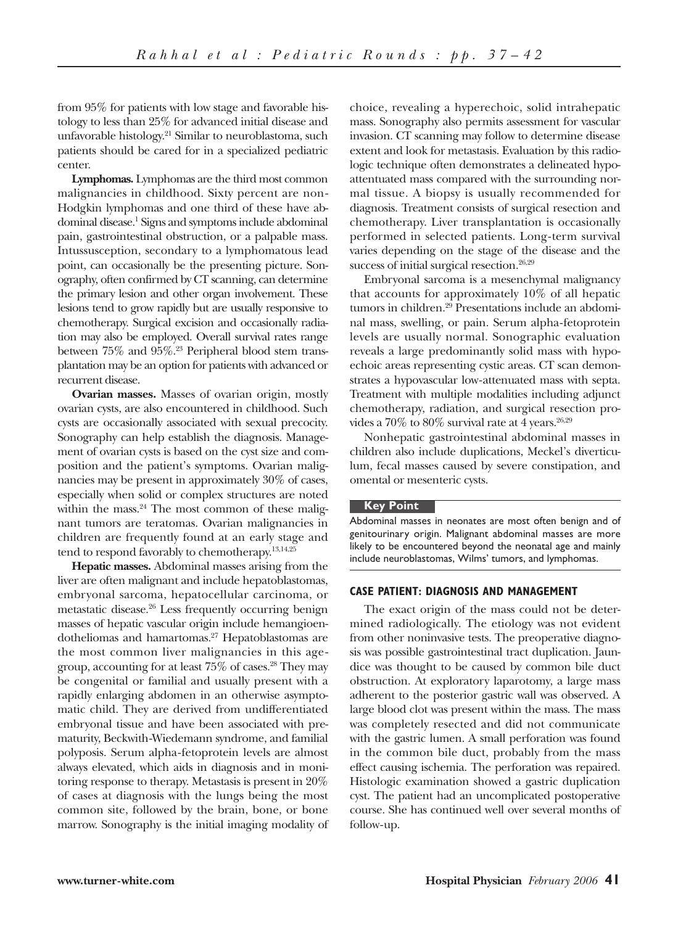from 95% for patients with low stage and favorable histology to less than 25% for advanced initial disease and unfavorable histology.<sup>21</sup> Similar to neuroblastoma, such patients should be cared for in a specialized pediatric center.

**Lymphomas.** Lymphomas are the third most common malignancies in childhood. Sixty percent are non-Hodgkin lymphomas and one third of these have abdominal disease.1 Signs and symptoms include abdominal pain, gastrointestinal obstruction, or a palpable mass. Intussusception, secondary to a lymphomatous lead point, can occasionally be the presenting picture. Sonography, often confirmed by CT scanning, can determine the primary lesion and other organ involvement. These lesions tend to grow rapidly but are usually responsive to chemotherapy. Surgical excision and occasionally radiation may also be employed. Overall survival rates range between  $75\%$  and  $95\%$ .<sup>23</sup> Peripheral blood stem transplantation may be an option for patients with advanced or recurrent disease.

**Ovarian masses.** Masses of ovarian origin, mostly ovarian cysts, are also encountered in childhood. Such cysts are occasionally associated with sexual precocity. Sonography can help establish the diagnosis. Management of ovarian cysts is based on the cyst size and composition and the patient's symptoms. Ovarian malignancies may be present in approximately 30% of cases, especially when solid or complex structures are noted within the mass. $24$  The most common of these malignant tumors are teratomas. Ovarian malignancies in children are frequently found at an early stage and tend to respond favorably to chemotherapy.<sup>13,14,25</sup>

**Hepatic masses.** Abdominal masses arising from the liver are often malignant and include hepatoblastomas, embryonal sarcoma, hepatocellular carcinoma, or metastatic disease.26 Less frequently occurring benign masses of hepatic vascular origin include hemangioendotheliomas and hamartomas.27 Hepatoblastomas are the most common liver malignancies in this agegroup, accounting for at least  $75\%$  of cases.<sup>28</sup> They may be congenital or familial and usually present with a rapidly enlarging abdomen in an otherwise asymptomatic child. They are derived from undifferentiated embryonal tissue and have been associated with prematurity, Beckwith-Wiedemann syndrome, and familial polyposis. Serum alpha-fetoprotein levels are almost always elevated, which aids in diagnosis and in monitoring response to therapy. Metastasis is present in 20% of cases at diagnosis with the lungs being the most common site, followed by the brain, bone, or bone marrow. Sonography is the initial imaging modality of choice, revealing a hyperechoic, solid intrahepatic mass. Sonography also permits assessment for vascular invasion. CT scanning may follow to determine disease extent and look for metastasis. Evaluation by this radiologic technique often demonstrates a delineated hypoattentuated mass compared with the surrounding normal tissue. A biopsy is usually recommended for diagnosis. Treatment consists of surgical resection and chemotherapy. Liver transplantation is occasionally performed in selected patients. Long-term survival varies depending on the stage of the disease and the success of initial surgical resection.<sup>26,29</sup>

Embryonal sarcoma is a mesenchymal malignancy that accounts for approximately 10% of all hepatic tumors in children.<sup>29</sup> Presentations include an abdominal mass, swelling, or pain. Serum alpha-fetoprotein levels are usually normal. Sonographic evaluation reveals a large predominantly solid mass with hypoechoic areas representing cystic areas. CT scan demonstrates a hypovascular low-attenuated mass with septa. Treatment with multiple modalities including adjunct chemotherapy, radiation, and surgical resection provides a  $70\%$  to  $80\%$  survival rate at 4 years.<sup>26,29</sup>

Nonhepatic gastrointestinal abdominal masses in children also include duplications, Meckel's diverticulum, fecal masses caused by severe constipation, and omental or mesenteric cysts.

## **Key Point**

Abdominal masses in neonates are most often benign and of genitourinary origin. Malignant abdominal masses are more likely to be encountered beyond the neonatal age and mainly include neuroblastomas, Wilms' tumors, and lymphomas.

#### **CASE PATIENT: DIAGNOSIS AND MANAGEMENT**

The exact origin of the mass could not be determined radiologically. The etiology was not evident from other noninvasive tests. The preoperative diagnosis was possible gastrointestinal tract duplication. Jaundice was thought to be caused by common bile duct obstruction. At exploratory laparotomy, a large mass adherent to the posterior gastric wall was observed. A large blood clot was present within the mass. The mass was completely resected and did not communicate with the gastric lumen. A small perforation was found in the common bile duct, probably from the mass effect causing ischemia. The perforation was repaired. Histologic examination showed a gastric duplication cyst. The patient had an uncomplicated postoperative course. She has continued well over several months of follow-up.